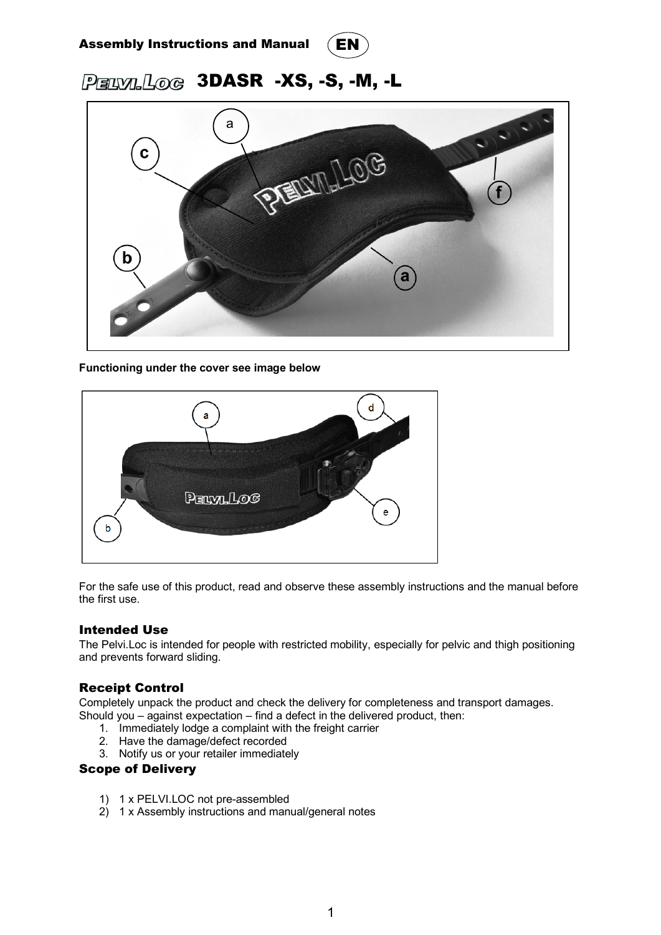



# PERVILLOG 3DASR -XS, -S, -M, -L



**Functioning under the cover see image below**



For the safe use of this product, read and observe these assembly instructions and the manual before the first use.

## Intended Use

The Pelvi.Loc is intended for people with restricted mobility, especially for pelvic and thigh positioning and prevents forward sliding.

# Receipt Control

Completely unpack the product and check the delivery for completeness and transport damages. Should you – against expectation – find a defect in the delivered product, then:

- 1. Immediately lodge a complaint with the freight carrier
- 2. Have the damage/defect recorded
- 3. Notify us or your retailer immediately

### Scope of Delivery

- 1) 1 x PELVI.LOC not pre-assembled
- 2) 1 x Assembly instructions and manual/general notes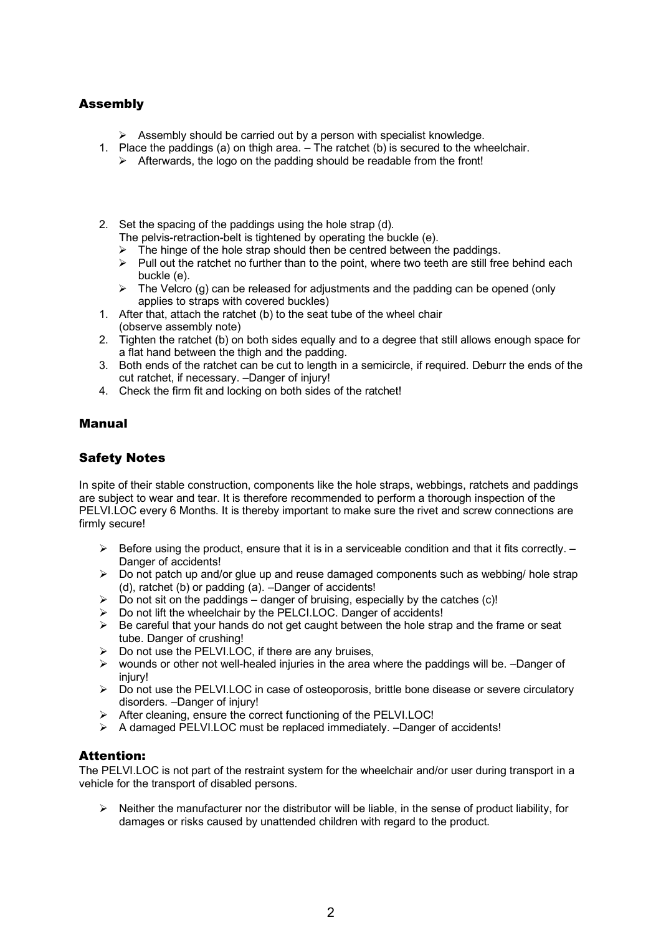# Assembly

- $\triangleright$  Assembly should be carried out by a person with specialist knowledge.
- 1. Place the paddings (a) on thigh area. The ratchet (b) is secured to the wheelchair.
	- $\triangleright$  Afterwards, the logo on the padding should be readable from the front!
- 2. Set the spacing of the paddings using the hole strap (d). The pelvis-retraction-belt is tightened by operating the buckle (e).
	- $\triangleright$  The hinge of the hole strap should then be centred between the paddings.
	- $\triangleright$  Pull out the ratchet no further than to the point, where two teeth are still free behind each buckle (e).
	- $\triangleright$  The Velcro (g) can be released for adjustments and the padding can be opened (only applies to straps with covered buckles)
- 1. After that, attach the ratchet (b) to the seat tube of the wheel chair (observe assembly note)
- 2. Tighten the ratchet (b) on both sides equally and to a degree that still allows enough space for a flat hand between the thigh and the padding.
- 3. Both ends of the ratchet can be cut to length in a semicircle, if required. Deburr the ends of the cut ratchet, if necessary. –Danger of injury!
- 4. Check the firm fit and locking on both sides of the ratchet!

# Manual

# Safety Notes

In spite of their stable construction, components like the hole straps, webbings, ratchets and paddings are subject to wear and tear. It is therefore recommended to perform a thorough inspection of the PELVI.LOC every 6 Months. It is thereby important to make sure the rivet and screw connections are firmly secure!

- $\triangleright$  Before using the product, ensure that it is in a serviceable condition and that it fits correctly.  $-$ Danger of accidents!
- $\triangleright$  Do not patch up and/or glue up and reuse damaged components such as webbing/ hole strap (d), ratchet (b) or padding (a). –Danger of accidents!
- $\triangleright$  Do not sit on the paddings danger of bruising, especially by the catches (c)!
- Ø Do not lift the wheelchair by the PELCI.LOC. Danger of accidents!
- $\triangleright$  Be careful that your hands do not get caught between the hole strap and the frame or seat tube. Danger of crushing!
- $\triangleright$  Do not use the PELVI.LOC, if there are any bruises,
- $\geq$  wounds or other not well-healed injuries in the area where the paddings will be. –Danger of injury!
- $\triangleright$  Do not use the PELVI.LOC in case of osteoporosis, brittle bone disease or severe circulatory disorders. –Danger of injury!
- $\triangleright$  After cleaning, ensure the correct functioning of the PELVI.LOC!
- $\triangleright$  A damaged PELVI.LOC must be replaced immediately. -Danger of accidents!

## Attention:

The PELVI.LOC is not part of the restraint system for the wheelchair and/or user during transport in a vehicle for the transport of disabled persons.

 $\triangleright$  Neither the manufacturer nor the distributor will be liable, in the sense of product liability, for damages or risks caused by unattended children with regard to the product.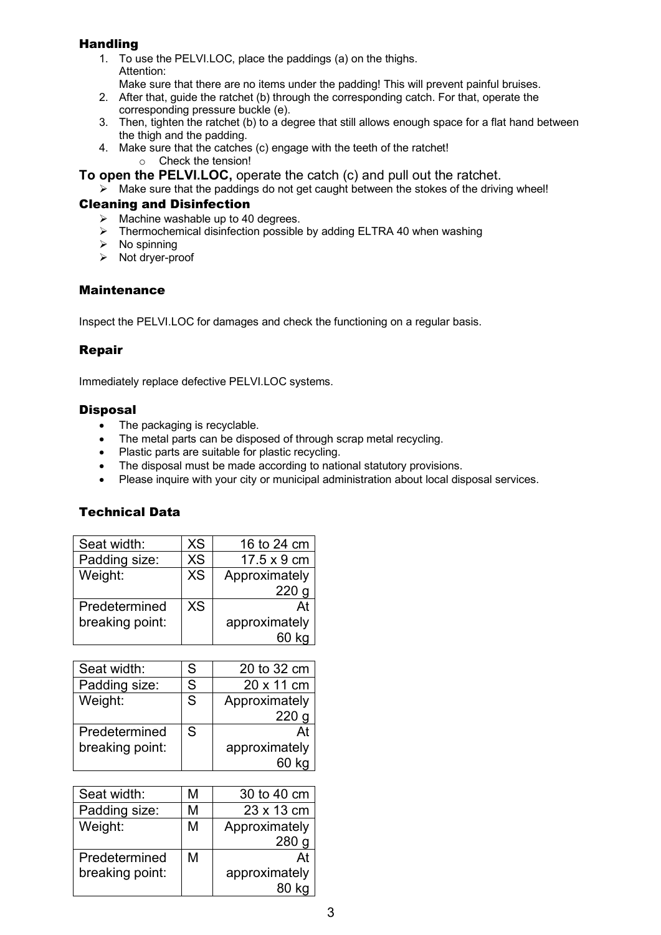# **Handling**

- 1. To use the PELVI.LOC, place the paddings (a) on the thighs. Attention:
- Make sure that there are no items under the padding! This will prevent painful bruises.
- 2. After that, guide the ratchet (b) through the corresponding catch. For that, operate the corresponding pressure buckle (e).
- 3. Then, tighten the ratchet (b) to a degree that still allows enough space for a flat hand between the thigh and the padding.
- 4. Make sure that the catches (c) engage with the teeth of the ratchet!
	- o Check the tension!
- **To open the PELVI.LOC,** operate the catch (c) and pull out the ratchet.
	- $\geq$  Make sure that the paddings do not get caught between the stokes of the driving wheel!

## Cleaning and Disinfection

- $\triangleright$  Machine washable up to 40 degrees.
- $\triangleright$  Thermochemical disinfection possible by adding ELTRA 40 when washing
- $\triangleright$  No spinning
- $\triangleright$  Not dryer-proof

## **Maintenance**

Inspect the PELVI.LOC for damages and check the functioning on a regular basis.

# Repair

Immediately replace defective PELVI.LOC systems.

## **Disposal**

- The packaging is recyclable.
- The metal parts can be disposed of through scrap metal recycling.
- Plastic parts are suitable for plastic recycling.
- The disposal must be made according to national statutory provisions.
- Please inquire with your city or municipal administration about local disposal services.

# Technical Data

| Seat width:     | <b>XS</b> | 16 to 24 cm        |
|-----------------|-----------|--------------------|
| Padding size:   | <b>XS</b> | $17.5 \times 9$ cm |
| Weight:         | <b>XS</b> | Approximately      |
|                 |           | 220                |
| Predetermined   | <b>XS</b> | A <sub>1</sub>     |
| breaking point: |           | approximately      |
|                 |           |                    |

| Seat width:     | S | 20 to 32 cm   |
|-----------------|---|---------------|
| Padding size:   | S | 20 x 11 cm    |
| Weight:         | S | Approximately |
|                 |   | 220           |
| Predetermined   | S |               |
| breaking point: |   | approximately |
|                 |   |               |

| Seat width:     | М | 30 to 40 cm      |
|-----------------|---|------------------|
| Padding size:   | М | 23 x 13 cm       |
| Weight:         | М | Approximately    |
|                 |   | 280 <sub>g</sub> |
| Predetermined   | м |                  |
| breaking point: |   | approximately    |
|                 |   |                  |